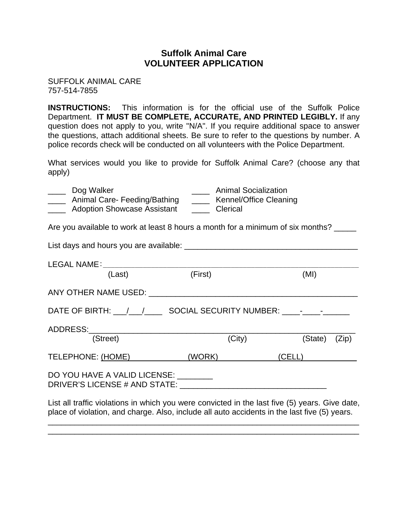# **Suffolk Animal Care VOLUNTEER APPLICATION**

SUFFOLK ANIMAL CARE 757-514-7855

**INSTRUCTIONS:** This information is for the official use of the Suffolk Police Department. **IT MUST BE COMPLETE, ACCURATE, AND PRINTED LEGIBLY.** If any question does not apply to you, write "N/A". If you require additional space to answer the questions, attach additional sheets. Be sure to refer to the questions by number. A police records check will be conducted on all volunteers with the Police Department.

What services would you like to provide for Suffolk Animal Care? (choose any that apply)

| Dog Walker<br>_____ Animal Care- Feeding/Bathing _____ Kennel/Office Cleaning<br>_____ Adoption Showcase Assistant _____ Clerical                                                              | <b>Example 2</b> Animal Socialization |               |  |
|------------------------------------------------------------------------------------------------------------------------------------------------------------------------------------------------|---------------------------------------|---------------|--|
| Are you available to work at least 8 hours a month for a minimum of six months? _____                                                                                                          |                                       |               |  |
|                                                                                                                                                                                                |                                       |               |  |
| (Last)                                                                                                                                                                                         | (First)                               | (MI)          |  |
|                                                                                                                                                                                                |                                       |               |  |
| DATE OF BIRTH: __/__/_________ SOCIAL SECURITY NUMBER: _____-___________________                                                                                                               |                                       |               |  |
|                                                                                                                                                                                                |                                       |               |  |
| (Street)                                                                                                                                                                                       | (City)                                | (State) (Zip) |  |
| TELEPHONE: (HOME) (WORK) (CELL)                                                                                                                                                                |                                       |               |  |
| DO YOU HAVE A VALID LICENSE: ________                                                                                                                                                          |                                       |               |  |
| List all traffic violations in which you were convicted in the last five (5) years. Give date,<br>place of violation, and charge. Also, include all auto accidents in the last five (5) years. |                                       |               |  |

\_\_\_\_\_\_\_\_\_\_\_\_\_\_\_\_\_\_\_\_\_\_\_\_\_\_\_\_\_\_\_\_\_\_\_\_\_\_\_\_\_\_\_\_\_\_\_\_\_\_\_\_\_\_\_\_\_\_\_\_\_\_\_\_\_\_\_\_\_\_ \_\_\_\_\_\_\_\_\_\_\_\_\_\_\_\_\_\_\_\_\_\_\_\_\_\_\_\_\_\_\_\_\_\_\_\_\_\_\_\_\_\_\_\_\_\_\_\_\_\_\_\_\_\_\_\_\_\_\_\_\_\_\_\_\_\_\_\_\_\_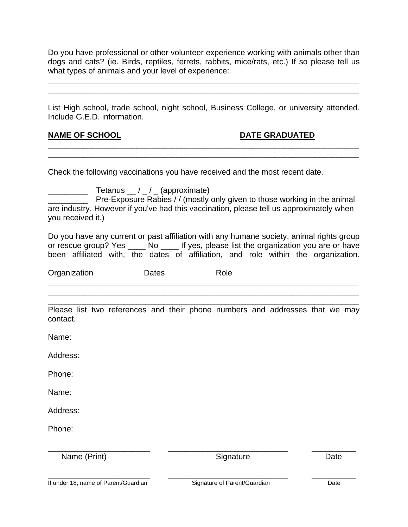Do you have professional or other volunteer experience working with animals other than dogs and cats? (ie. Birds, reptiles, ferrets, rabbits, mice/rats, etc.) If so please tell us what types of animals and your level of experience:

\_\_\_\_\_\_\_\_\_\_\_\_\_\_\_\_\_\_\_\_\_\_\_\_\_\_\_\_\_\_\_\_\_\_\_\_\_\_\_\_\_\_\_\_\_\_\_\_\_\_\_\_\_\_\_\_\_\_\_\_\_\_\_\_\_\_\_\_\_\_ \_\_\_\_\_\_\_\_\_\_\_\_\_\_\_\_\_\_\_\_\_\_\_\_\_\_\_\_\_\_\_\_\_\_\_\_\_\_\_\_\_\_\_\_\_\_\_\_\_\_\_\_\_\_\_\_\_\_\_\_\_\_\_\_\_\_\_\_\_\_

List High school, trade school, night school, Business College, or university attended. Include G.E.D. information.

\_\_\_\_\_\_\_\_\_\_\_\_\_\_\_\_\_\_\_\_\_\_\_\_\_\_\_\_\_\_\_\_\_\_\_\_\_\_\_\_\_\_\_\_\_\_\_\_\_\_\_\_\_\_\_\_\_\_\_\_\_\_\_\_\_\_\_\_\_\_ \_\_\_\_\_\_\_\_\_\_\_\_\_\_\_\_\_\_\_\_\_\_\_\_\_\_\_\_\_\_\_\_\_\_\_\_\_\_\_\_\_\_\_\_\_\_\_\_\_\_\_\_\_\_\_\_\_\_\_\_\_\_\_\_\_\_\_\_\_\_

### **NAME OF SCHOOL CONSUMING A REAL PROPERTY OF SCHOOL CONSUMING A REAL PROPERTY OF SCHOOL**

Check the following vaccinations you have received and the most recent date.

 $\Box$  Tetanus  $\Box / \Box / \Box$  (approximate) Pre-Exposure Rabies / / (mostly only given to those working in the animal are industry. However if you've had this vaccination, please tell us approximately when you received it.)

Do you have any current or past affiliation with any humane society, animal rights group or rescue group? Yes No If yes, please list the organization you are or have been affiliated with, the dates of affiliation, and role within the organization.

Organization Dates Role

\_\_\_\_\_\_\_\_\_\_\_\_\_\_\_\_\_\_\_\_\_\_\_\_\_\_\_\_\_\_\_\_\_\_\_\_\_\_\_\_\_\_\_\_\_\_\_\_\_\_\_\_\_\_\_\_\_\_\_\_\_\_\_\_\_\_\_\_\_\_ Please list two references and their phone numbers and addresses that we may contact.

\_\_\_\_\_\_\_\_\_\_\_\_\_\_\_\_\_\_\_\_\_\_\_\_\_\_\_\_\_\_\_\_\_\_\_\_\_\_\_\_\_\_\_\_\_\_\_\_\_\_\_\_\_\_\_\_\_\_\_\_\_\_\_\_\_\_\_\_\_\_ \_\_\_\_\_\_\_\_\_\_\_\_\_\_\_\_\_\_\_\_\_\_\_\_\_\_\_\_\_\_\_\_\_\_\_\_\_\_\_\_\_\_\_\_\_\_\_\_\_\_\_\_\_\_\_\_\_\_\_\_\_\_\_\_\_\_\_\_\_\_

Name:

Address:

Phone:

Name:

Address:

Phone:

Name (Print) **Name** (Print) **Signature Date** 

\_\_\_\_\_\_\_\_\_\_\_\_\_\_\_\_\_\_\_\_\_\_\_ \_\_\_\_\_\_\_\_\_\_\_\_\_\_\_\_\_\_\_\_\_\_\_\_\_\_\_ \_\_\_\_\_\_\_\_\_\_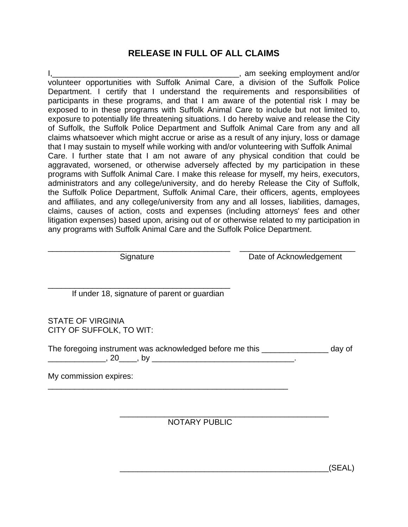# **RELEASE IN FULL OF ALL CLAIMS**

I,\_\_\_\_\_\_\_\_\_\_\_\_\_\_\_\_\_\_\_\_\_\_\_\_\_\_\_\_\_\_\_\_\_\_\_\_\_\_\_\_\_\_, am seeking employment and/or volunteer opportunities with Suffolk Animal Care, a division of the Suffolk Police Department. I certify that I understand the requirements and responsibilities of participants in these programs, and that I am aware of the potential risk I may be exposed to in these programs with Suffolk Animal Care to include but not limited to, exposure to potentially life threatening situations. I do hereby waive and release the City of Suffolk, the Suffolk Police Department and Suffolk Animal Care from any and all claims whatsoever which might accrue or arise as a result of any injury, loss or damage that I may sustain to myself while working with and/or volunteering with Suffolk Animal Care. I further state that I am not aware of any physical condition that could be aggravated, worsened, or otherwise adversely affected by my participation in these programs with Suffolk Animal Care. I make this release for myself, my heirs, executors, administrators and any college/university, and do hereby Release the City of Suffolk, the Suffolk Police Department, Suffolk Animal Care, their officers, agents, employees and affiliates, and any college/university from any and all losses, liabilities, damages, claims, causes of action, costs and expenses (including attorneys' fees and other litigation expenses) based upon, arising out of or otherwise related to my participation in any programs with Suffolk Animal Care and the Suffolk Police Department.

\_\_\_\_\_\_\_\_\_\_\_\_\_\_\_\_\_\_\_\_\_\_\_\_\_\_\_\_\_\_\_\_\_\_\_\_\_\_\_\_\_ \_\_\_\_\_\_\_\_\_\_\_\_\_\_\_\_\_\_\_\_\_\_\_\_\_\_

\_\_\_\_\_\_\_\_\_\_\_\_\_\_\_\_\_\_\_\_\_\_\_\_\_\_\_\_\_\_\_\_\_\_\_\_\_\_\_\_\_

Signature Date of Acknowledgement

If under 18, signature of parent or guardian

\_\_\_\_\_\_\_\_\_\_\_\_\_\_\_\_\_\_\_\_\_\_\_\_\_\_\_\_\_\_\_\_\_\_\_\_\_\_\_\_\_\_\_\_\_\_\_\_\_\_\_\_\_\_

STATE OF VIRGINIA CITY OF SUFFOLK, TO WIT:

The foregoing instrument was acknowledged before me this day of \_\_\_\_\_\_\_\_\_\_\_\_\_, 20\_\_\_\_, by \_\_\_\_\_\_\_\_\_\_\_\_\_\_\_\_\_\_\_\_\_\_\_\_\_\_\_\_\_\_\_\_.

My commission expires:

 $\frac{1}{\sqrt{2}}$  ,  $\frac{1}{\sqrt{2}}$  ,  $\frac{1}{\sqrt{2}}$  ,  $\frac{1}{\sqrt{2}}$  ,  $\frac{1}{\sqrt{2}}$  ,  $\frac{1}{\sqrt{2}}$  ,  $\frac{1}{\sqrt{2}}$  ,  $\frac{1}{\sqrt{2}}$  ,  $\frac{1}{\sqrt{2}}$  ,  $\frac{1}{\sqrt{2}}$  ,  $\frac{1}{\sqrt{2}}$  ,  $\frac{1}{\sqrt{2}}$  ,  $\frac{1}{\sqrt{2}}$  ,  $\frac{1}{\sqrt{2}}$  ,  $\frac{1}{\sqrt{2}}$ NOTARY PUBLIC

\_\_\_\_\_\_\_\_\_\_\_\_\_\_\_\_\_\_\_\_\_\_\_\_\_\_\_\_\_\_\_\_\_\_\_\_\_\_\_\_\_\_\_\_\_\_\_(SEAL)